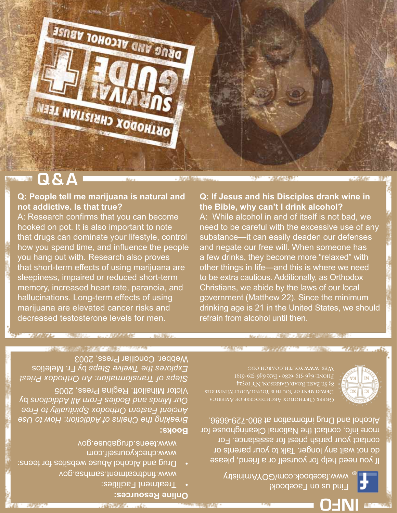**INFO**

**Eind us on Facebook!** www.facebook.com/GOYAministry

www.findtreatment.samhsa.gov Drug and Alcohol Abuse websites for teens: www.checkyourself.com

**Online Resources:**

**Books:** 

**Box 1999** 

Treatment Facilities: •

www.teens.drugabuse.gov

*How to Use* : *Breaking the Chains of Addiction Ancient Eastern Orthodox Spirituality to Free*  by *Our Minds and Bodies From All Addictions*

If you need help for yourself or a friend, please

do not wait any longer. Talk to your parents or contact your parish priest for assistance. For more info, contact the National Clearinghouse for

Свеек Октнорох Авснриосезе ог Амевиса

Alcohol and Drug information at 800-729-6686.

83 ST BASIL ROAD, GARRISON, NY IOS24 DEPARTMENT OF YOUTH & YOUNG ADULT MINISTRIES

Victor Mihailoff. Regina Press, 2005 *Steps of Transformation: An Orthodox Priest*  by Fr. Meletios *Explores the Twelve Steps*  Webber. Conciliar Press, 2003

refrain from alcohol until then. 人名英格兰人姓氏英格兰人姓氏 Мев: www.youth.goARCH.org

hallucinations. Long-term effects of using marijuana are elevated cancer risks and decreased testosterone levels for men.

The Mill and March 19

## **Q: If Jesus and his Disciples drank wine in**

A: While alcohol in and of itself is not bad, we need to be careful with the excessive use of any substance—it can easily deaden our defenses and negate our free will. When someone has a few drinks, they become more "relaxed" with other things in life—and this is where we need to be extra cautious. Additionally, as Orthodox Christians, we abide by the laws of our local government (Matthew 22). Since the minimum drinking age is 21 in the United States, we should

# **the Bible, why can't I drink alcohol?**

**Q & A**

# **Q: People tell me marijuana is natural and**

**not addictive. Is that true?**  A: Research confirms that you can become hooked on pot. It is also important to note that drugs can dominate your lifestyle, control how you spend time, and influence the people you hang out with. Research also proves that short-term effects of using marijuana are sleepiness, impaired or reduced short-term memory, increased heart rate, paranoia, and

25568533